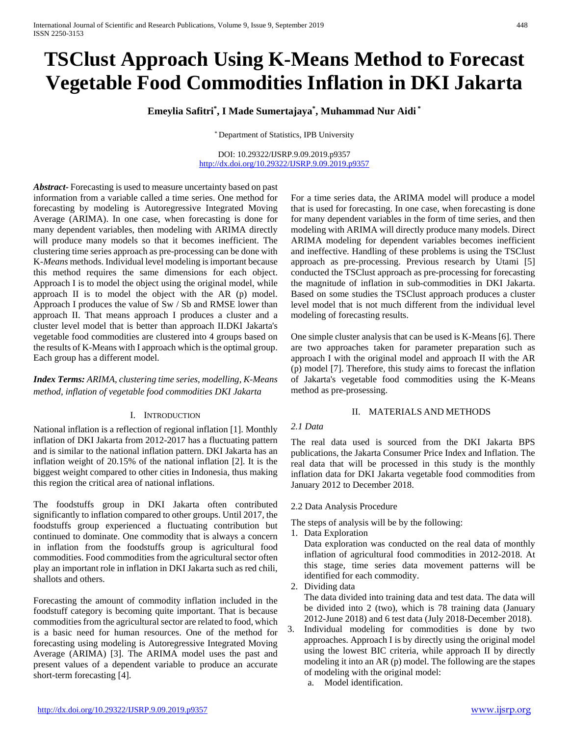# **TSClust Approach Using K-Means Method to Forecast Vegetable Food Commodities Inflation in DKI Jakarta**

**Emeylia Safitri\* , I Made Sumertajaya\* , Muhammad Nur Aidi \***

\* Department of Statistics, IPB University

DOI: 10.29322/IJSRP.9.09.2019.p9357 <http://dx.doi.org/10.29322/IJSRP.9.09.2019.p9357>

*Abstract***-** Forecasting is used to measure uncertainty based on past information from a variable called a time series. One method for forecasting by modeling is Autoregressive Integrated Moving Average (ARIMA). In one case, when forecasting is done for many dependent variables, then modeling with ARIMA directly will produce many models so that it becomes inefficient. The clustering time series approach as pre-processing can be done with K-*Means* methods. Individual level modeling is important because this method requires the same dimensions for each object. Approach I is to model the object using the original model, while approach II is to model the object with the AR (p) model. Approach I produces the value of Sw / Sb and RMSE lower than approach II. That means approach I produces a cluster and a cluster level model that is better than approach II.DKI Jakarta's vegetable food commodities are clustered into 4 groups based on the results of K-Means with I approach which is the optimal group. Each group has a different model.

*Index Terms: ARIMA, clustering time series, modelling, K-Means method, inflation of vegetable food commodities DKI Jakarta*

## I. INTRODUCTION

National inflation is a reflection of regional inflation [1]. Monthly inflation of DKI Jakarta from 2012-2017 has a fluctuating pattern and is similar to the national inflation pattern. DKI Jakarta has an inflation weight of 20.15% of the national inflation [2]. It is the biggest weight compared to other cities in Indonesia, thus making this region the critical area of national inflations.

The foodstuffs group in DKI Jakarta often contributed significantly to inflation compared to other groups. Until 2017, the foodstuffs group experienced a fluctuating contribution but continued to dominate. One commodity that is always a concern in inflation from the foodstuffs group is agricultural food commodities. Food commodities from the agricultural sector often play an important role in inflation in DKI Jakarta such as red chili, shallots and others.

Forecasting the amount of commodity inflation included in the foodstuff category is becoming quite important. That is because commodities from the agricultural sector are related to food, which is a basic need for human resources. One of the method for forecasting using modeling is Autoregressive Integrated Moving Average (ARIMA) [3]. The ARIMA model uses the past and present values of a dependent variable to produce an accurate short-term forecasting [4].

For a time series data, the ARIMA model will produce a model that is used for forecasting. In one case, when forecasting is done for many dependent variables in the form of time series, and then modeling with ARIMA will directly produce many models. Direct ARIMA modeling for dependent variables becomes inefficient and ineffective. Handling of these problems is using the TSClust approach as pre-processing. Previous research by Utami [5] conducted the TSClust approach as pre-processing for forecasting the magnitude of inflation in sub-commodities in DKI Jakarta. Based on some studies the TSClust approach produces a cluster level model that is not much different from the individual level modeling of forecasting results.

One simple cluster analysis that can be used is K-Means [6]. There are two approaches taken for parameter preparation such as approach I with the original model and approach II with the AR (p) model [7]. Therefore, this study aims to forecast the inflation of Jakarta's vegetable food commodities using the K-Means method as pre-prosessing.

## II. MATERIALS AND METHODS

## *2.1 Data*

The real data used is sourced from the DKI Jakarta BPS publications, the Jakarta Consumer Price Index and Inflation. The real data that will be processed in this study is the monthly inflation data for DKI Jakarta vegetable food commodities from January 2012 to December 2018.

# 2.2 Data Analysis Procedure

The steps of analysis will be by the following:

1. Data Exploration

Data exploration was conducted on the real data of monthly inflation of agricultural food commodities in 2012-2018. At this stage, time series data movement patterns will be identified for each commodity.

2. Dividing data

The data divided into training data and test data. The data will be divided into 2 (two), which is 78 training data (January 2012-June 2018) and 6 test data (July 2018-December 2018).

- 3. Individual modeling for commodities is done by two approaches. Approach I is by directly using the original model using the lowest BIC criteria, while approach II by directly modeling it into an AR (p) model. The following are the stapes of modeling with the original model:
	- a. Model identification.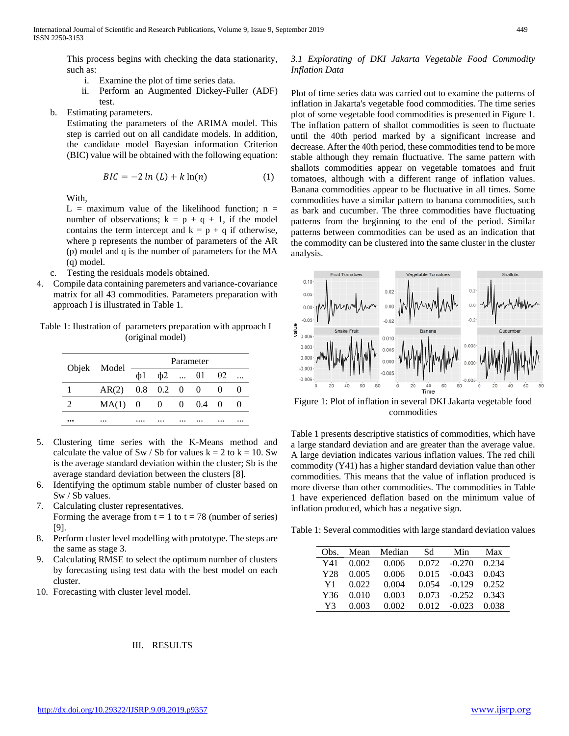This process begins with checking the data stationarity, such as:

- i. Examine the plot of time series data.
- ii. Perform an Augmented Dickey-Fuller (ADF) test.
- b. Estimating parameters.

Estimating the parameters of the ARIMA model. This step is carried out on all candidate models. In addition, the candidate model Bayesian information Criterion (BIC) value will be obtained with the following equation:

$$
BIC = -2\ln(L) + k\ln(n) \tag{1}
$$

With,

 $L =$  maximum value of the likelihood function; n = number of observations;  $k = p + q + 1$ , if the model contains the term intercept and  $k = p + q$  if otherwise, where p represents the number of parameters of the AR (p) model and q is the number of parameters for the MA (q) model.

- c. Testing the residuals models obtained.
- 4. Compile data containing paremeters and variance-covariance matrix for all 43 commodities. Parameters preparation with approach I is illustrated in Table 1.

Table 1: Ilustration of parameters preparation with approach I (original model)

|  | Objek Model         | Parameter        |  |  |                                |  |  |
|--|---------------------|------------------|--|--|--------------------------------|--|--|
|  |                     | d <sub>0</sub> 1 |  |  | $\phi$ 2 $\theta$ 1 $\theta$ 2 |  |  |
|  | $AR(2)$ 0.8 0.2 0 0 |                  |  |  |                                |  |  |
|  | $MA(1)$ 0 0 0 0.4 0 |                  |  |  |                                |  |  |
|  | $\cdots$            |                  |  |  |                                |  |  |

- 5. Clustering time series with the K-Means method and calculate the value of Sw / Sb for values  $k = 2$  to  $k = 10$ . Sw is the average standard deviation within the cluster; Sb is the average standard deviation between the clusters [8].
- 6. Identifying the optimum stable number of cluster based on Sw / Sb values.
- 7. Calculating cluster representatives. Forming the average from  $t = 1$  to  $t = 78$  (number of series) [9].
- 8. Perform cluster level modelling with prototype. The steps are the same as stage 3.
- 9. Calculating RMSE to select the optimum number of clusters by forecasting using test data with the best model on each cluster.
- 10. Forecasting with cluster level model.

## III. RESULTS

# *3.1 Explorating of DKI Jakarta Vegetable Food Commodity Inflation Data*

Plot of time series data was carried out to examine the patterns of inflation in Jakarta's vegetable food commodities. The time series plot of some vegetable food commodities is presented in Figure 1. The inflation pattern of shallot commodities is seen to fluctuate until the 40th period marked by a significant increase and decrease. After the 40th period, these commodities tend to be more stable although they remain fluctuative. The same pattern with shallots commodities appear on vegetable tomatoes and fruit tomatoes, although with a different range of inflation values. Banana commodities appear to be fluctuative in all times. Some commodities have a similar pattern to banana commodities, such as bark and cucumber. The three commodities have fluctuating patterns from the beginning to the end of the period. Similar patterns between commodities can be used as an indication that the commodity can be clustered into the same cluster in the cluster analysis.



Figure 1: Plot of inflation in several DKI Jakarta vegetable food commodities

Table 1 presents descriptive statistics of commodities, which have a large standard deviation and are greater than the average value. A large deviation indicates various inflation values. The red chili commodity (Y41) has a higher standard deviation value than other commodities. This means that the value of inflation produced is more diverse than other commodities. The commodities in Table 1 have experienced deflation based on the minimum value of inflation produced, which has a negative sign.

Table 1: Several commodities with large standard deviation values

| Obs. | Mean  | Median | Sd    | Min      | Max   |
|------|-------|--------|-------|----------|-------|
| Y41  | 0.002 | 0.006  | 0.072 | $-0.270$ | 0.234 |
| Y28  | 0.005 | 0.006  | 0.015 | $-0.043$ | 0.043 |
| Y1   | 0.022 | 0.004  | 0.054 | $-0.129$ | 0.252 |
| Y36  | 0.010 | 0.003  | 0.073 | $-0.252$ | 0.343 |
| Y3   | 0.003 | 0.002  | 0.012 | $-0.023$ | 0.038 |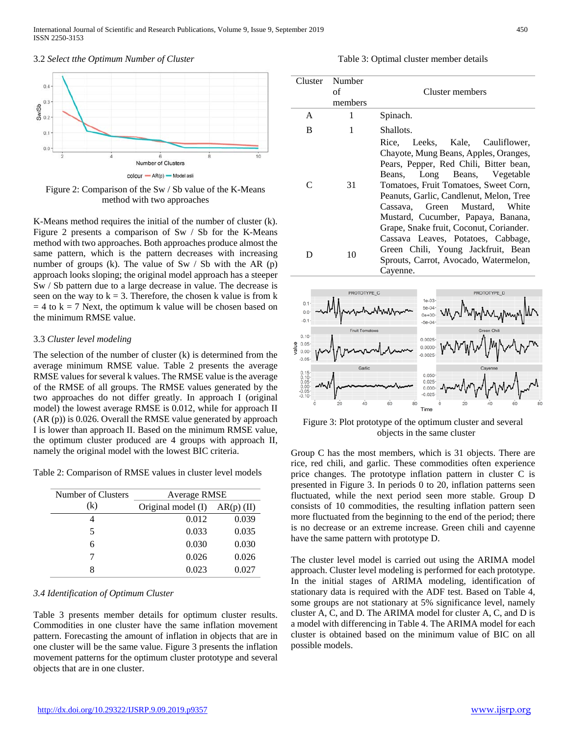#### 3.2 *Select tthe Optimum Number of Cluster*



Figure 2: Comparison of the Sw / Sb value of the K-Means method with two approaches

K-Means method requires the initial of the number of cluster (k). Figure 2 presents a comparison of Sw / Sb for the K-Means method with two approaches. Both approaches produce almost the same pattern, which is the pattern decreases with increasing number of groups (k). The value of Sw  $\prime$  Sb with the AR (p) approach looks sloping; the original model approach has a steeper Sw / Sb pattern due to a large decrease in value. The decrease is seen on the way to  $k = 3$ . Therefore, the chosen k value is from k  $= 4$  to  $k = 7$  Next, the optimum k value will be chosen based on the minimum RMSE value.

#### 3.3 *Cluster level modeling*

The selection of the number of cluster (k) is determined from the average minimum RMSE value. Table 2 presents the average RMSE values for several k values. The RMSE value is the average of the RMSE of all groups. The RMSE values generated by the two approaches do not differ greatly. In approach I (original model) the lowest average RMSE is 0.012, while for approach II (AR (p)) is 0.026. Overall the RMSE value generated by approach I is lower than approach II. Based on the minimum RMSE value, the optimum cluster produced are 4 groups with approach II, namely the original model with the lowest BIC criteria.

Table 2: Comparison of RMSE values in cluster level models

| Number of Clusters | Average RMSE       |              |  |
|--------------------|--------------------|--------------|--|
| (k)                | Original model (I) | $AR(p)$ (II) |  |
|                    | 0.012              | 0.039        |  |
| 5                  | 0.033              | 0.035        |  |
| 6                  | 0.030              | 0.030        |  |
|                    | 0.026              | 0.026        |  |
|                    | 0.023              | 0.027        |  |

#### *3.4 Identification of Optimum Cluster*

Table 3 presents member details for optimum cluster results. Commodities in one cluster have the same inflation movement pattern. Forecasting the amount of inflation in objects that are in one cluster will be the same value. Figure 3 presents the inflation movement patterns for the optimum cluster prototype and several objects that are in one cluster.

#### Table 3: Optimal cluster member details

| Cluster | <b>Number</b><br>of<br>members | Cluster members                                                                                                                                                                                                                                                                                                                                          |  |  |
|---------|--------------------------------|----------------------------------------------------------------------------------------------------------------------------------------------------------------------------------------------------------------------------------------------------------------------------------------------------------------------------------------------------------|--|--|
| A       | 1                              | Spinach.                                                                                                                                                                                                                                                                                                                                                 |  |  |
| B       | 1                              | Shallots.                                                                                                                                                                                                                                                                                                                                                |  |  |
|         | 31                             | Rice, Leeks, Kale, Cauliflower,<br>Chayote, Mung Beans, Apples, Oranges,<br>Pears, Pepper, Red Chili, Bitter bean,<br>Beans, Long Beans, Vegetable<br>Tomatoes, Fruit Tomatoes, Sweet Corn,<br>Peanuts, Garlic, Candlenut, Melon, Tree<br>Cassava, Green Mustard, White<br>Mustard, Cucumber, Papaya, Banana,<br>Grape, Snake fruit, Coconut, Coriander. |  |  |
| D       | 10                             | Cassava Leaves, Potatoes, Cabbage,<br>Green Chili, Young Jackfruit, Bean<br>Sprouts, Carrot, Avocado, Watermelon,<br>Cayenne.                                                                                                                                                                                                                            |  |  |
|         |                                |                                                                                                                                                                                                                                                                                                                                                          |  |  |



Figure 3: Plot prototype of the optimum cluster and several objects in the same cluster

Group C has the most members, which is 31 objects. There are rice, red chili, and garlic. These commodities often experience price changes. The prototype inflation pattern in cluster C is presented in Figure 3. In periods 0 to 20, inflation patterns seen fluctuated, while the next period seen more stable. Group D consists of 10 commodities, the resulting inflation pattern seen more fluctuated from the beginning to the end of the period; there is no decrease or an extreme increase. Green chili and cayenne have the same pattern with prototype D.

The cluster level model is carried out using the ARIMA model approach. Cluster level modeling is performed for each prototype. In the initial stages of ARIMA modeling, identification of stationary data is required with the ADF test. Based on Table 4, some groups are not stationary at 5% significance level, namely cluster A, C, and D. The ARIMA model for cluster A, C, and D is a model with differencing in Table 4. The ARIMA model for each cluster is obtained based on the minimum value of BIC on all possible models.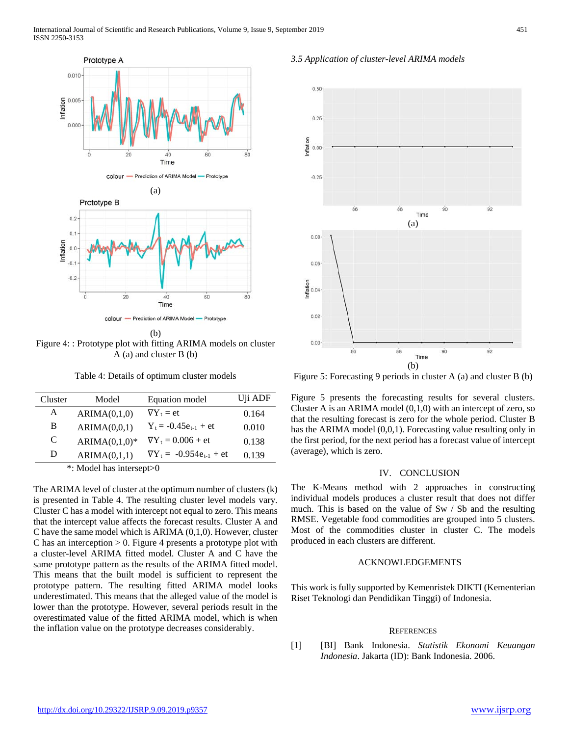

(b) Figure 4: : Prototype plot with fitting ARIMA models on cluster A (a) and cluster B (b)

Table 4: Details of optimum cluster models

| Cluster                  | Model           | Equation model                    | Uji ADF |  |  |
|--------------------------|-----------------|-----------------------------------|---------|--|--|
| A                        | ARIMA(0,1,0)    | $\nabla Y_t = et$                 | 0.164   |  |  |
| B                        | ARIMA(0,0,1)    | $Y_t = -0.45e_{t-1} + et$         | 0.010   |  |  |
| C                        | $ARIMA(0,1,0)*$ | $\nabla Y_t = 0.006 + et$         | 0.138   |  |  |
| D                        | ARIMA(0,1,1)    | $\nabla Y_t = -0.954e_{t-1} + et$ | 0.139   |  |  |
| *: Model has intersept>0 |                 |                                   |         |  |  |

The ARIMA level of cluster at the optimum number of clusters (k) is presented in Table 4. The resulting cluster level models vary. Cluster C has a model with intercept not equal to zero. This means that the intercept value affects the forecast results. Cluster A and C have the same model which is ARIMA (0,1,0). However, cluster C has an interception > 0. Figure 4 presents a prototype plot with a cluster-level ARIMA fitted model. Cluster A and C have the same prototype pattern as the results of the ARIMA fitted model. This means that the built model is sufficient to represent the prototype pattern. The resulting fitted ARIMA model looks underestimated. This means that the alleged value of the model is lower than the prototype. However, several periods result in the overestimated value of the fitted ARIMA model, which is when the inflation value on the prototype decreases considerably.

*3.5 Application of cluster-level ARIMA models*



Figure 5: Forecasting 9 periods in cluster A (a) and cluster B (b)

Figure 5 presents the forecasting results for several clusters. Cluster A is an ARIMA model  $(0,1,0)$  with an intercept of zero, so that the resulting forecast is zero for the whole period. Cluster B has the ARIMA model (0,0,1). Forecasting value resulting only in the first period, for the next period has a forecast value of intercept (average), which is zero.

#### IV. CONCLUSION

The K-Means method with 2 approaches in constructing individual models produces a cluster result that does not differ much. This is based on the value of Sw / Sb and the resulting RMSE. Vegetable food commodities are grouped into 5 clusters. Most of the commodities cluster in cluster C. The models produced in each clusters are different.

## ACKNOWLEDGEMENTS

This work is fully supported by Kemenristek DIKTI (Kementerian Riset Teknologi dan Pendidikan Tinggi) of Indonesia.

#### **REFERENCES**

[1] [BI] Bank Indonesia. *Statistik Ekonomi Keuangan Indonesia*. Jakarta (ID): Bank Indonesia. 2006.